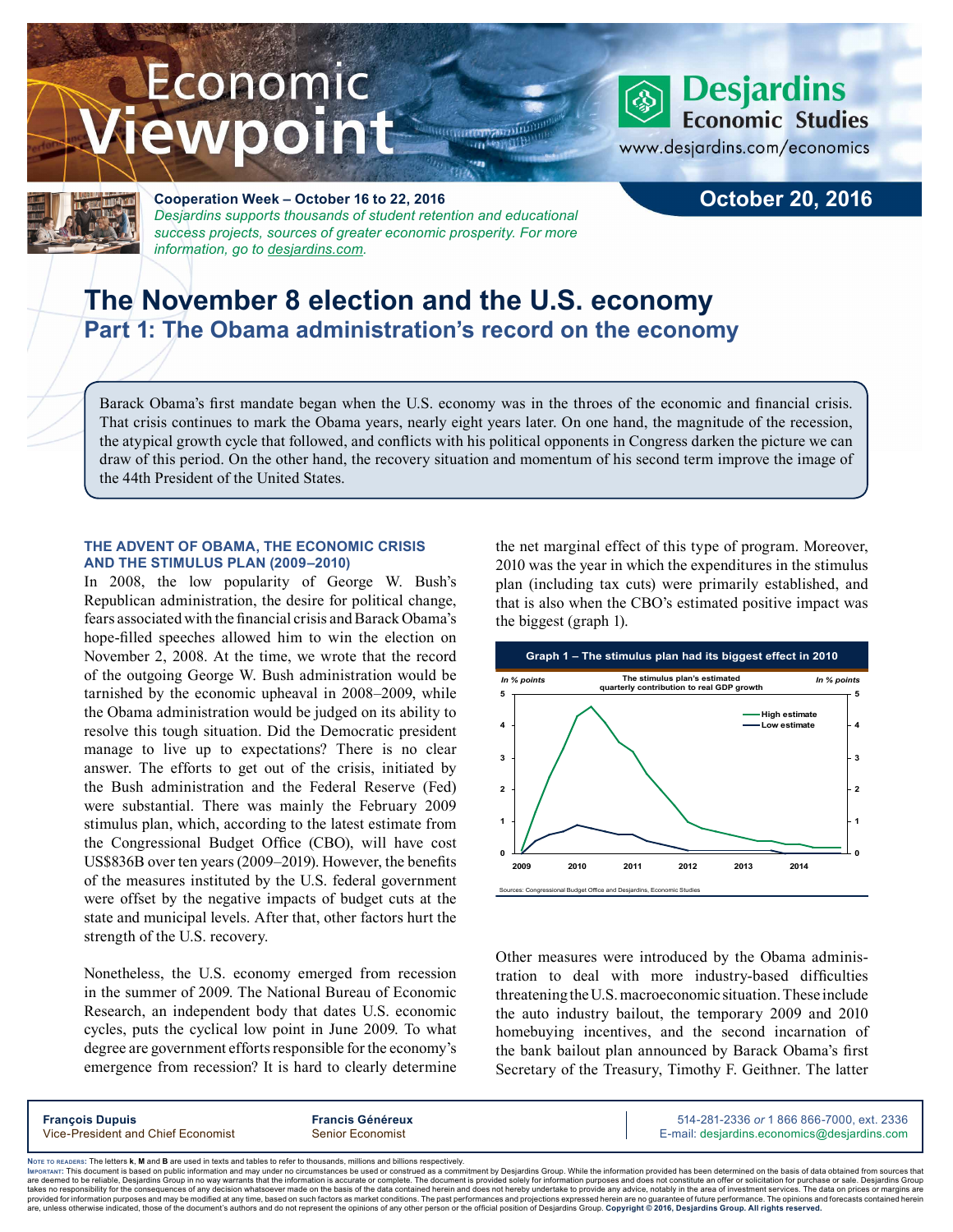# Economic ewpoint



**Cooperation Week – October 16 to 22, 2016** *Desjardins supports thousands of student retention and educational success projects, sources of greater economic prosperity. For more information, go to [desjardins.com](https://www.desjardins.com/ca/co-opme/desjardins-difference/co-op-week/index.jsp).*

## **October 20, 2016**

**Desjardins Economic Studies** 

www.desjardins.com/economics

# **The November 8 election and the U.S. economy Part 1: The Obama administration's record on the economy**

Barack Obama's first mandate began when the U.S. economy was in the throes of the economic and financial crisis. That crisis continues to mark the Obama years, nearly eight years later. On one hand, the magnitude of the recession, the atypical growth cycle that followed, and conflicts with his political opponents in Congress darken the picture we can draw of this period. On the other hand, the recovery situation and momentum of his second term improve the image of the 44th President of the United States.

#### **THE ADVENT OF OBAMA, THE ECONOMIC CRISIS AND THE STIMULUS PLAN (2009–2010)**

In 2008, the low popularity of George W. Bush's Republican administration, the desire for political change, fears associated with the financial crisis and Barack Obama's hope-filled speeches allowed him to win the election on November 2, 2008. At the time, we wrote that the record of the outgoing George W. Bush administration would be tarnished by the economic upheaval in 2008–2009, while the Obama administration would be judged on its ability to resolve this tough situation. Did the Democratic president manage to live up to expectations? There is no clear answer. The efforts to get out of the crisis, initiated by the Bush administration and the Federal Reserve (Fed) were substantial. There was mainly the February 2009 stimulus plan, which, according to the latest estimate from the Congressional Budget Office (CBO), will have cost US\$836B over ten years (2009–2019). However, the benefits of the measures instituted by the U.S. federal government were offset by the negative impacts of budget cuts at the state and municipal levels. After that, other factors hurt the strength of the U.S. recovery.

Nonetheless, the U.S. economy emerged from recession in the summer of 2009. The National Bureau of Economic Research, an independent body that dates U.S. economic cycles, puts the cyclical low point in June 2009. To what degree are government efforts responsible for the economy's emergence from recession? It is hard to clearly determine

the net marginal effect of this type of program. Moreover, 2010 was the year in which the expenditures in the stimulus plan (including tax cuts) were primarily established, and that is also when the CBO's estimated positive impact was the biggest (graph 1).



Other measures were introduced by the Obama administration to deal with more industry-based difficulties threatening the U.S.macroeconomic situation. These include the auto industry bailout, the temporary 2009 and 2010 homebuying incentives, and the second incarnation of the bank bailout plan announced by Barack Obama's first Secretary of the Treasury, Timothy F. Geithner. The latter

| <b>François Dupuis</b>             | <b>Francis Généreux</b> | 514-281-2336 or 1 866 866-7000, ext. 2336   |
|------------------------------------|-------------------------|---------------------------------------------|
| Vice-President and Chief Economist | Senior Economist        | E-mail: desjardins.economics@desjardins.com |
|                                    |                         |                                             |

Noте то келоекs: The letters **k, M** and **B** are used in texts and tables to refer to thousands, millions and billions respectively.<br>Імроктлит: This document is based on public information and may under no circumstances be are deemed to be reliable. Desiardins Group in no way warrants that the information is accurate or complete. The document is provided solely for information purposes and does not constitute an offer or solicitation for pur takes no responsibility for the consequences of any decision whatsoever made on the basis of the data contained herein and does not hereby undertake to provide any advice, notably in the area of investment services. The da .<br>are, unless otherwise indicated, those of the document's authors and do not represent the opinions of any other person or the official position of Desjardins Group. Copyright @ 2016, Desjardins Group. All rights reserved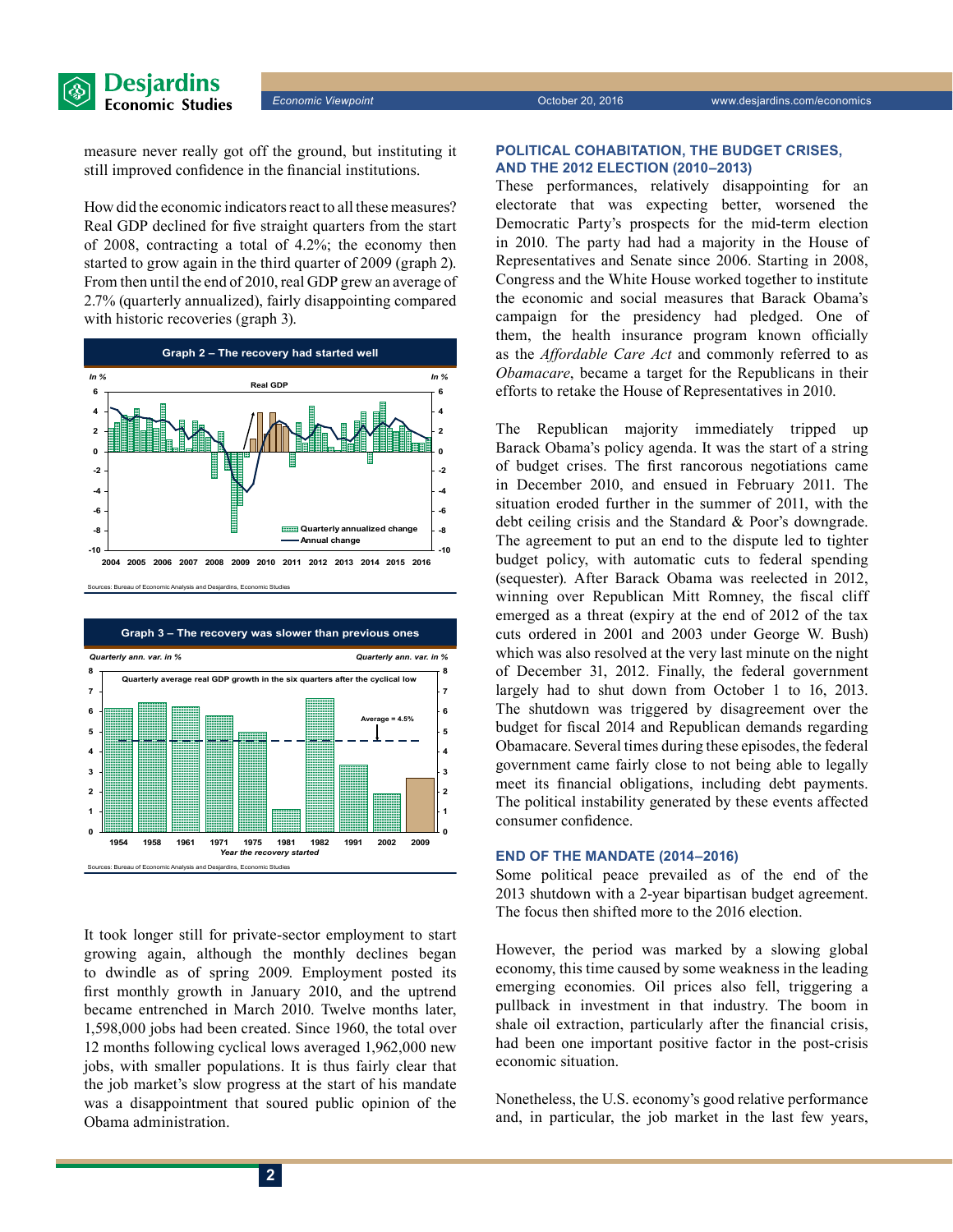

measure never really got off the ground, but instituting it still improved confidence in the financial institutions.

How did the economic indicators react to all these measures? Real GDP declined for five straight quarters from the start of 2008, contracting a total of 4.2%; the economy then started to grow again in the third quarter of 2009 (graph 2). From then until the end of 2010, real GDP grew an average of 2.7% (quarterly annualized), fairly disappointing compared with historic recoveries (graph 3).



Sources: Bureau of Economic Analysis and Desjardins, Economic Studie



It took longer still for private-sector employment to start growing again, although the monthly declines began to dwindle as of spring 2009. Employment posted its first monthly growth in January 2010, and the uptrend became entrenched in March 2010. Twelve months later, 1,598,000 jobs had been created. Since 1960, the total over 12 months following cyclical lows averaged 1,962,000 new jobs, with smaller populations. It is thus fairly clear that the job market's slow progress at the start of his mandate was a disappointment that soured public opinion of the Obama administration.

#### **POLITICAL COHABITATION, THE BUDGET CRISES, AND THE 2012 ELECTION (2010–2013)**

These performances, relatively disappointing for an electorate that was expecting better, worsened the Democratic Party's prospects for the mid-term election in 2010. The party had had a majority in the House of Representatives and Senate since 2006. Starting in 2008, Congress and the White House worked together to institute the economic and social measures that Barack Obama's campaign for the presidency had pledged. One of them, the health insurance program known officially as the *Affordable Care Act* and commonly referred to as *Obamacare*, became a target for the Republicans in their efforts to retake the House of Representatives in 2010.

The Republican majority immediately tripped up Barack Obama's policy agenda. It was the start of a string of budget crises. The first rancorous negotiations came in December 2010, and ensued in February 2011. The situation eroded further in the summer of 2011, with the debt ceiling crisis and the Standard & Poor's downgrade. The agreement to put an end to the dispute led to tighter budget policy, with automatic cuts to federal spending (sequester). After Barack Obama was reelected in 2012, winning over Republican Mitt Romney, the fiscal cliff emerged as a threat (expiry at the end of 2012 of the tax cuts ordered in 2001 and 2003 under George W. Bush) which was also resolved at the very last minute on the night of December 31, 2012. Finally, the federal government largely had to shut down from October 1 to 16, 2013. The shutdown was triggered by disagreement over the budget for fiscal 2014 and Republican demands regarding Obamacare. Several times during these episodes, the federal government came fairly close to not being able to legally meet its financial obligations, including debt payments. The political instability generated by these events affected consumer confidence.

#### **END OF THE MANDATE (2014–2016)**

Some political peace prevailed as of the end of the 2013 shutdown with a 2-year bipartisan budget agreement. The focus then shifted more to the 2016 election.

However, the period was marked by a slowing global economy, this time caused by some weakness in the leading emerging economies. Oil prices also fell, triggering a pullback in investment in that industry. The boom in shale oil extraction, particularly after the financial crisis, had been one important positive factor in the post-crisis economic situation.

Nonetheless, the U.S. economy's good relative performance and, in particular, the job market in the last few years,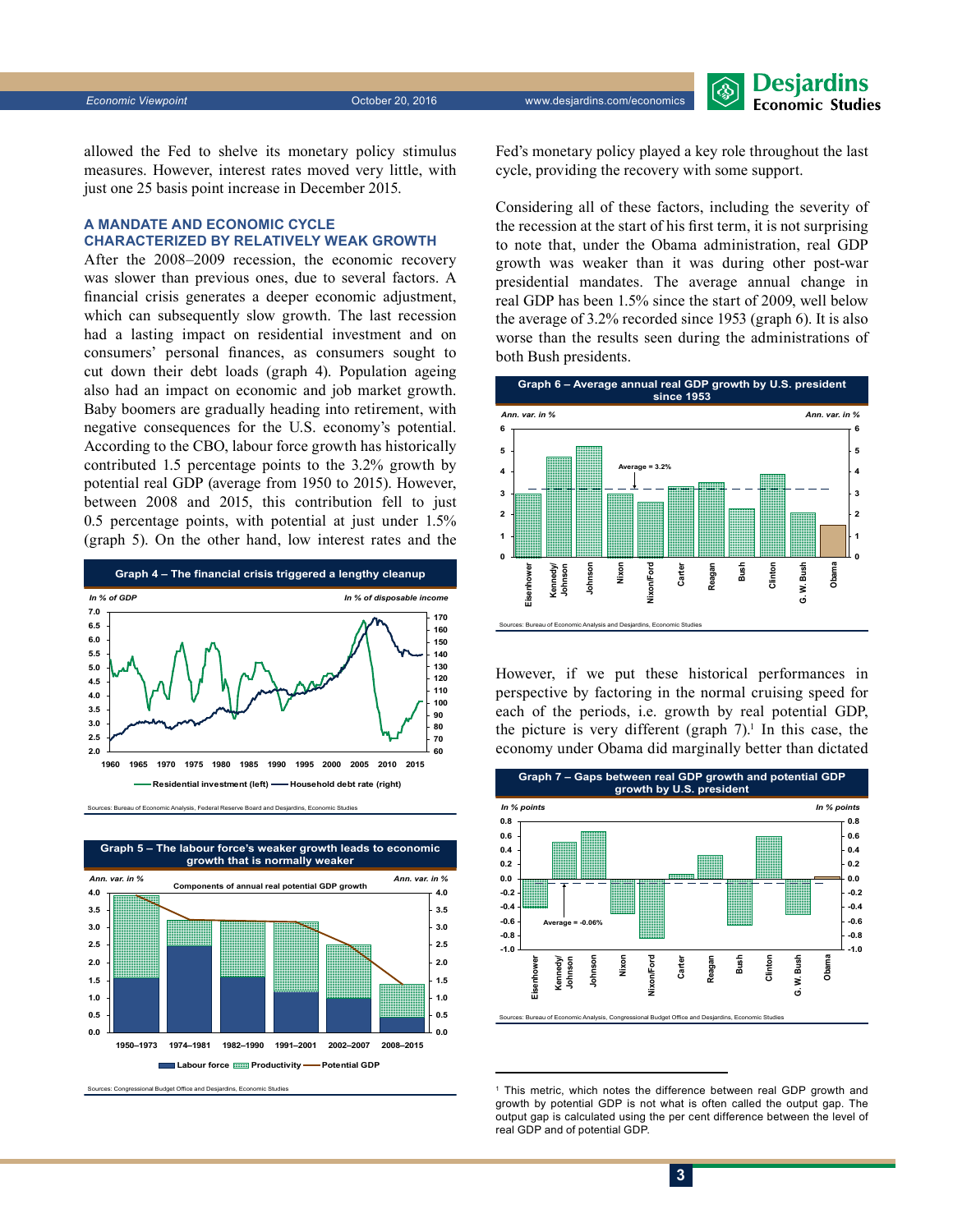allowed the Fed to shelve its monetary policy stimulus measures. However, interest rates moved very little, with just one 25 basis point increase in December 2015.

### **A MANDATE AND ECONOMIC CYCLE CHARACTERIZED BY RELATIVELY WEAK GROWTH**

After the 2008–2009 recession, the economic recovery was slower than previous ones, due to several factors. A financial crisis generates a deeper economic adjustment, which can subsequently slow growth. The last recession had a lasting impact on residential investment and on consumers' personal finances, as consumers sought to cut down their debt loads (graph 4). Population ageing also had an impact on economic and job market growth. Baby boomers are gradually heading into retirement, with negative consequences for the U.S. economy's potential. According to the CBO, labour force growth has historically contributed 1.5 percentage points to the 3.2% growth by potential real GDP (average from 1950 to 2015). However, between 2008 and 2015, this contribution fell to just 0.5 percentage points, with potential at just under 1.5% (graph 5). On the other hand, low interest rates and the







Sources: Congressional Budget Office and Desjardins, Economic Studies

Fed's monetary policy played a key role throughout the last cycle, providing the recovery with some support.

Considering all of these factors, including the severity of the recession at the start of his first term, it is not surprising to note that, under the Obama administration, real GDP growth was weaker than it was during other post-war presidential mandates. The average annual change in real GDP has been 1.5% since the start of 2009, well below the average of 3.2% recorded since 1953 (graph 6). It is also worse than the results seen during the administrations of both Bush presidents.



However, if we put these historical performances in perspective by factoring in the normal cruising speed for each of the periods, i.e. growth by real potential GDP, the picture is very different (graph  $7$ ).<sup>1</sup> In this case, the economy under Obama did marginally better than dictated



<sup>1</sup> This metric, which notes the difference between real GDP growth and growth by potential GDP is not what is often called the output gap. The output gap is calculated using the per cent difference between the level of real GDP and of potential GDP.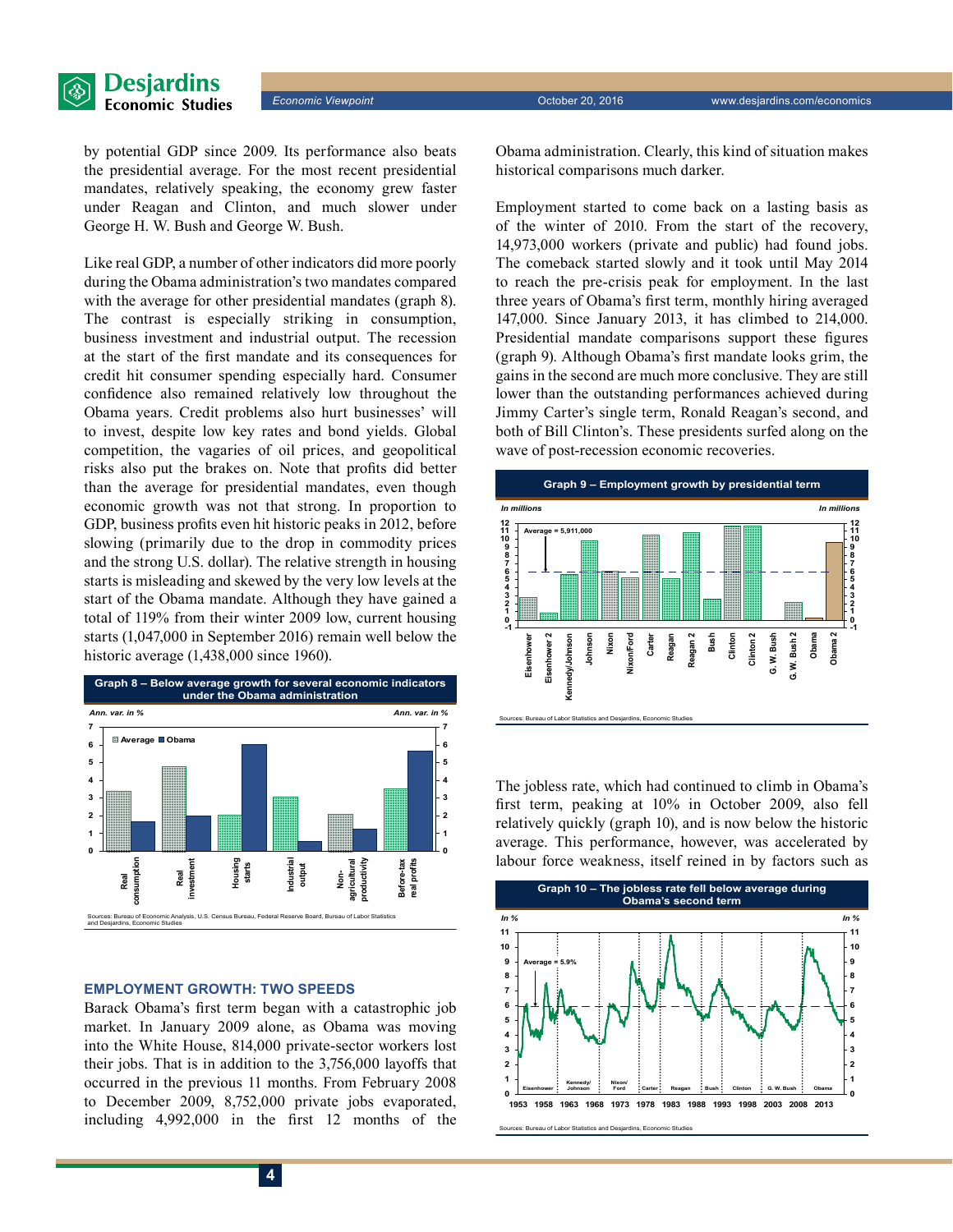

by potential GDP since 2009. Its performance also beats the presidential average. For the most recent presidential mandates, relatively speaking, the economy grew faster under Reagan and Clinton, and much slower under George H. W. Bush and George W. Bush.

Like real GDP, a number of other indicators did more poorly during the Obama administration's two mandates compared with the average for other presidential mandates (graph 8). The contrast is especially striking in consumption, business investment and industrial output. The recession at the start of the first mandate and its consequences for credit hit consumer spending especially hard. Consumer confidence also remained relatively low throughout the Obama years. Credit problems also hurt businesses' will to invest, despite low key rates and bond yields. Global competition, the vagaries of oil prices, and geopolitical risks also put the brakes on. Note that profits did better than the average for presidential mandates, even though economic growth was not that strong. In proportion to GDP, business profits even hit historic peaks in 2012, before slowing (primarily due to the drop in commodity prices and the strong U.S. dollar). The relative strength in housing starts is misleading and skewed by the very low levels at the start of the Obama mandate. Although they have gained a total of 119% from their winter 2009 low, current housing starts (1,047,000 in September 2016) remain well below the historic average (1,438,000 since 1960).



#### **EMPLOYMENT GROWTH: TWO SPEEDS**

Barack Obama's first term began with a catastrophic job market. In January 2009 alone, as Obama was moving into the White House, 814,000 private-sector workers lost their jobs. That is in addition to the 3,756,000 layoffs that occurred in the previous 11 months. From February 2008 to December 2009, 8,752,000 private jobs evaporated, including 4,992,000 in the first 12 months of the Obama administration. Clearly, this kind of situation makes historical comparisons much darker.

Employment started to come back on a lasting basis as of the winter of 2010. From the start of the recovery, 14,973,000 workers (private and public) had found jobs. The comeback started slowly and it took until May 2014 to reach the pre-crisis peak for employment. In the last three years of Obama's first term, monthly hiring averaged 147,000. Since January 2013, it has climbed to 214,000. Presidential mandate comparisons support these figures (graph 9). Although Obama's first mandate looks grim, the gains in the second are much more conclusive. They are still lower than the outstanding performances achieved during Jimmy Carter's single term, Ronald Reagan's second, and both of Bill Clinton's. These presidents surfed along on the wave of post-recession economic recoveries.



The jobless rate, which had continued to climb in Obama's first term, peaking at 10% in October 2009, also fell relatively quickly (graph 10), and is now below the historic average. This performance, however, was accelerated by labour force weakness, itself reined in by factors such as

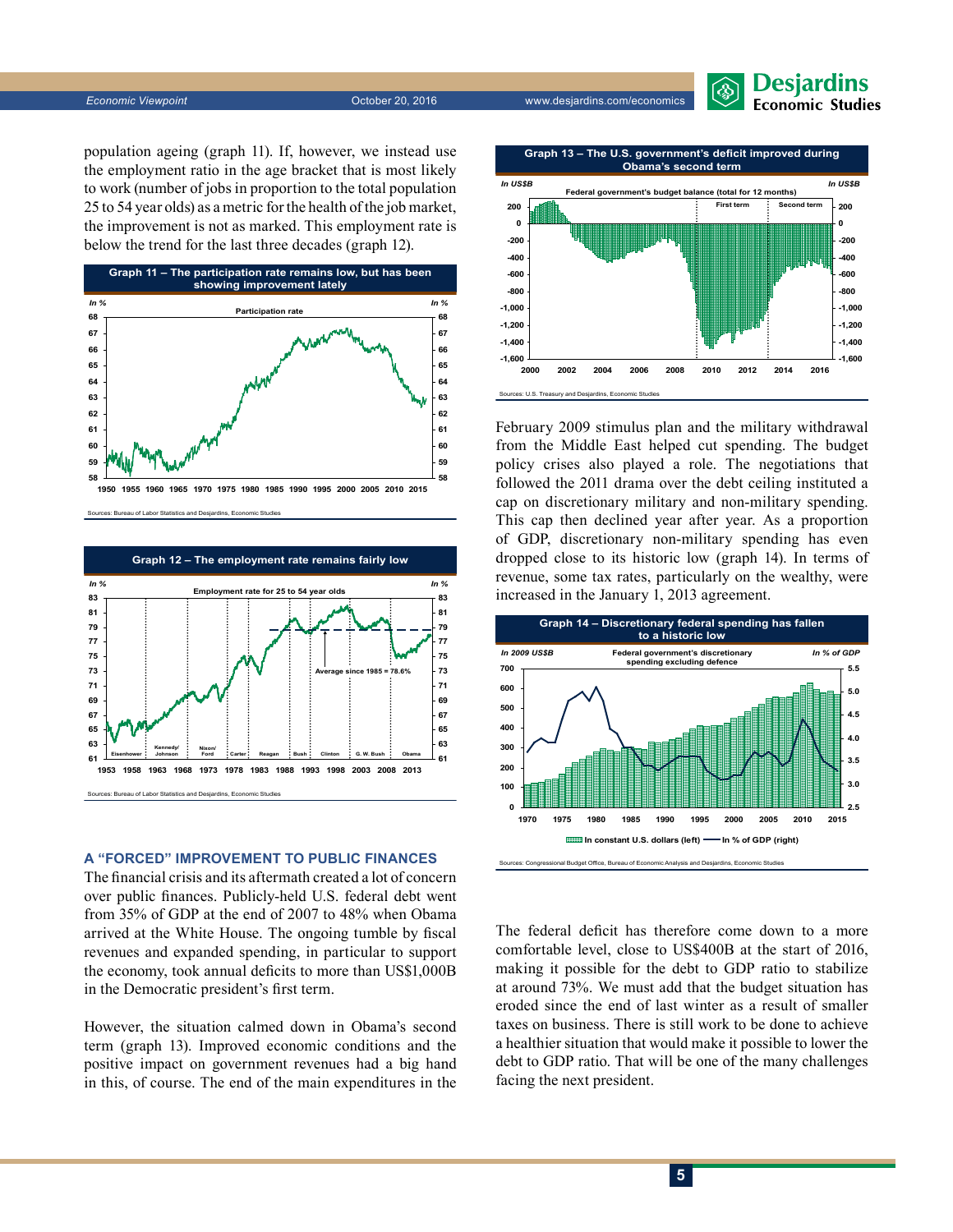

population ageing (graph 11). If, however, we instead use the employment ratio in the age bracket that is most likely to work (number of jobs in proportion to the total population 25 to 54 year olds) as a metric for the health of the job market, the improvement is not as marked. This employment rate is below the trend for the last three decades (graph 12).



Sources: Bureau of Labor Statistics and Desjardins, Economic Stud



#### **A "FORCED" IMPROVEMENT TO PUBLIC FINANCES**

The financial crisis and its aftermath created a lot of concern over public finances. Publicly-held U.S. federal debt went from 35% of GDP at the end of 2007 to 48% when Obama arrived at the White House. The ongoing tumble by fiscal revenues and expanded spending, in particular to support the economy, took annual deficits to more than US\$1,000B in the Democratic president's first term.

However, the situation calmed down in Obama's second term (graph 13). Improved economic conditions and the positive impact on government revenues had a big hand in this, of course. The end of the main expenditures in the



February 2009 stimulus plan and the military withdrawal from the Middle East helped cut spending. The budget policy crises also played a role. The negotiations that followed the 2011 drama over the debt ceiling instituted a cap on discretionary military and non-military spending. This cap then declined year after year. As a proportion of GDP, discretionary non-military spending has even dropped close to its historic low (graph 14). In terms of revenue, some tax rates, particularly on the wealthy, were increased in the January 1, 2013 agreement.



Sources: Congressional Budget Office, Bureau of Economic Analysis and Desjardins, Economic Studies

The federal deficit has therefore come down to a more comfortable level, close to US\$400B at the start of 2016, making it possible for the debt to GDP ratio to stabilize at around 73%. We must add that the budget situation has eroded since the end of last winter as a result of smaller taxes on business. There is still work to be done to achieve a healthier situation that would make it possible to lower the debt to GDP ratio. That will be one of the many challenges facing the next president.